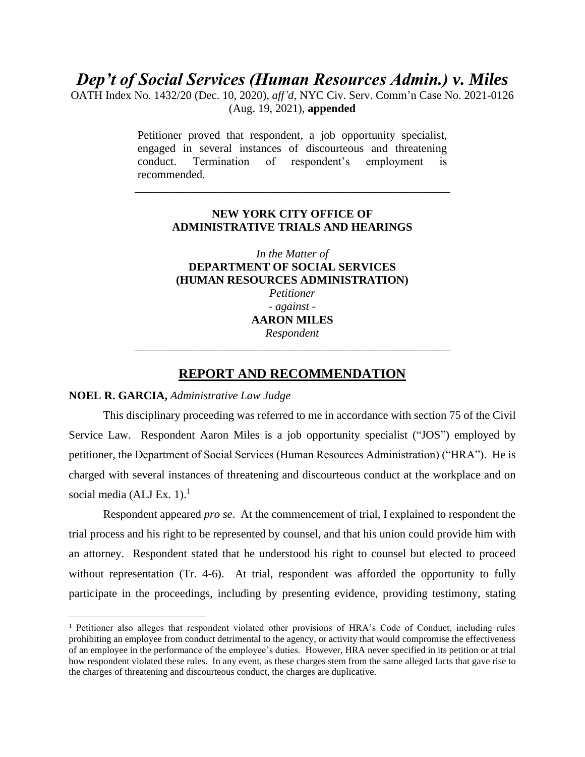*Dep't of Social Services (Human Resources Admin.) v. Miles*

OATH Index No. 1432/20 (Dec. 10, 2020), *aff'd*, NYC Civ. Serv. Comm'n Case No. 2021-0126 (Aug. 19, 2021), **appended**

> Petitioner proved that respondent, a job opportunity specialist, engaged in several instances of discourteous and threatening conduct. Termination of respondent's employment is recommended.

> \_\_\_\_\_\_\_\_\_\_\_\_\_\_\_\_\_\_\_\_\_\_\_\_\_\_\_\_\_\_\_\_\_\_\_\_\_\_\_\_\_\_\_\_\_\_\_\_\_\_\_\_\_\_\_

## **NEW YORK CITY OFFICE OF ADMINISTRATIVE TRIALS AND HEARINGS**

*In the Matter of*  **DEPARTMENT OF SOCIAL SERVICES (HUMAN RESOURCES ADMINISTRATION)** *Petitioner - against* - **AARON MILES** *Respondent* \_\_\_\_\_\_\_\_\_\_\_\_\_\_\_\_\_\_\_\_\_\_\_\_\_\_\_\_\_\_\_\_\_\_\_\_\_\_\_\_\_\_\_\_\_\_\_\_\_\_\_\_\_\_\_

# **REPORT AND RECOMMENDATION**

### **NOEL R. GARCIA,** *Administrative Law Judge*

This disciplinary proceeding was referred to me in accordance with section 75 of the Civil Service Law. Respondent Aaron Miles is a job opportunity specialist ("JOS") employed by petitioner, the Department of Social Services (Human Resources Administration) ("HRA"). He is charged with several instances of threatening and discourteous conduct at the workplace and on social media (ALJ Ex. 1).<sup>1</sup>

Respondent appeared *pro se*. At the commencement of trial, I explained to respondent the trial process and his right to be represented by counsel, and that his union could provide him with an attorney. Respondent stated that he understood his right to counsel but elected to proceed without representation (Tr. 4-6). At trial, respondent was afforded the opportunity to fully participate in the proceedings, including by presenting evidence, providing testimony, stating

<sup>&</sup>lt;sup>1</sup> Petitioner also alleges that respondent violated other provisions of HRA's Code of Conduct, including rules prohibiting an employee from conduct detrimental to the agency, or activity that would compromise the effectiveness of an employee in the performance of the employee's duties. However, HRA never specified in its petition or at trial how respondent violated these rules. In any event, as these charges stem from the same alleged facts that gave rise to the charges of threatening and discourteous conduct, the charges are duplicative.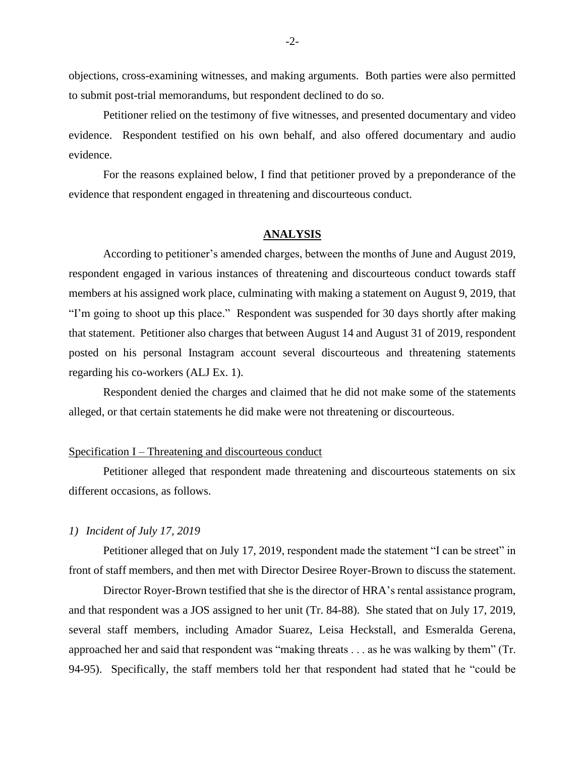objections, cross-examining witnesses, and making arguments. Both parties were also permitted to submit post-trial memorandums, but respondent declined to do so.

Petitioner relied on the testimony of five witnesses, and presented documentary and video evidence. Respondent testified on his own behalf, and also offered documentary and audio evidence.

For the reasons explained below, I find that petitioner proved by a preponderance of the evidence that respondent engaged in threatening and discourteous conduct.

### **ANALYSIS**

According to petitioner's amended charges, between the months of June and August 2019, respondent engaged in various instances of threatening and discourteous conduct towards staff members at his assigned work place, culminating with making a statement on August 9, 2019, that "I'm going to shoot up this place." Respondent was suspended for 30 days shortly after making that statement. Petitioner also charges that between August 14 and August 31 of 2019, respondent posted on his personal Instagram account several discourteous and threatening statements regarding his co-workers (ALJ Ex. 1).

Respondent denied the charges and claimed that he did not make some of the statements alleged, or that certain statements he did make were not threatening or discourteous.

## Specification I – Threatening and discourteous conduct

Petitioner alleged that respondent made threatening and discourteous statements on six different occasions, as follows.

## *1) Incident of July 17, 2019*

Petitioner alleged that on July 17, 2019, respondent made the statement "I can be street" in front of staff members, and then met with Director Desiree Royer-Brown to discuss the statement.

Director Royer-Brown testified that she is the director of HRA's rental assistance program, and that respondent was a JOS assigned to her unit (Tr. 84-88). She stated that on July 17, 2019, several staff members, including Amador Suarez, Leisa Heckstall, and Esmeralda Gerena, approached her and said that respondent was "making threats . . . as he was walking by them" (Tr. 94-95). Specifically, the staff members told her that respondent had stated that he "could be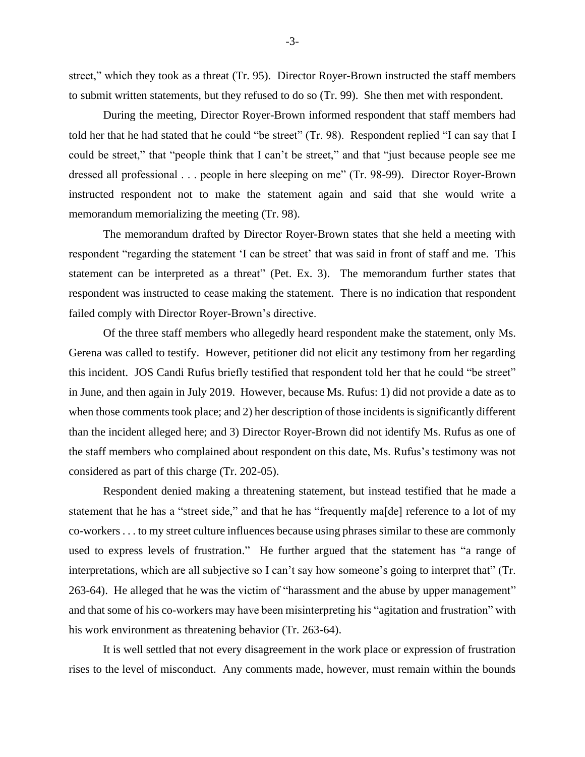street," which they took as a threat (Tr. 95). Director Royer-Brown instructed the staff members to submit written statements, but they refused to do so (Tr. 99). She then met with respondent.

During the meeting, Director Royer-Brown informed respondent that staff members had told her that he had stated that he could "be street" (Tr. 98). Respondent replied "I can say that I could be street," that "people think that I can't be street," and that "just because people see me dressed all professional . . . people in here sleeping on me" (Tr. 98-99). Director Royer-Brown instructed respondent not to make the statement again and said that she would write a memorandum memorializing the meeting (Tr. 98).

The memorandum drafted by Director Royer-Brown states that she held a meeting with respondent "regarding the statement 'I can be street' that was said in front of staff and me. This statement can be interpreted as a threat" (Pet. Ex. 3). The memorandum further states that respondent was instructed to cease making the statement. There is no indication that respondent failed comply with Director Royer-Brown's directive.

Of the three staff members who allegedly heard respondent make the statement, only Ms. Gerena was called to testify. However, petitioner did not elicit any testimony from her regarding this incident. JOS Candi Rufus briefly testified that respondent told her that he could "be street" in June, and then again in July 2019. However, because Ms. Rufus: 1) did not provide a date as to when those comments took place; and 2) her description of those incidents is significantly different than the incident alleged here; and 3) Director Royer-Brown did not identify Ms. Rufus as one of the staff members who complained about respondent on this date, Ms. Rufus's testimony was not considered as part of this charge (Tr. 202-05).

Respondent denied making a threatening statement, but instead testified that he made a statement that he has a "street side," and that he has "frequently ma[de] reference to a lot of my co-workers . . . to my street culture influences because using phrases similar to these are commonly used to express levels of frustration." He further argued that the statement has "a range of interpretations, which are all subjective so I can't say how someone's going to interpret that" (Tr. 263-64). He alleged that he was the victim of "harassment and the abuse by upper management" and that some of his co-workers may have been misinterpreting his "agitation and frustration" with his work environment as threatening behavior (Tr. 263-64).

It is well settled that not every disagreement in the work place or expression of frustration rises to the level of misconduct. Any comments made, however, must remain within the bounds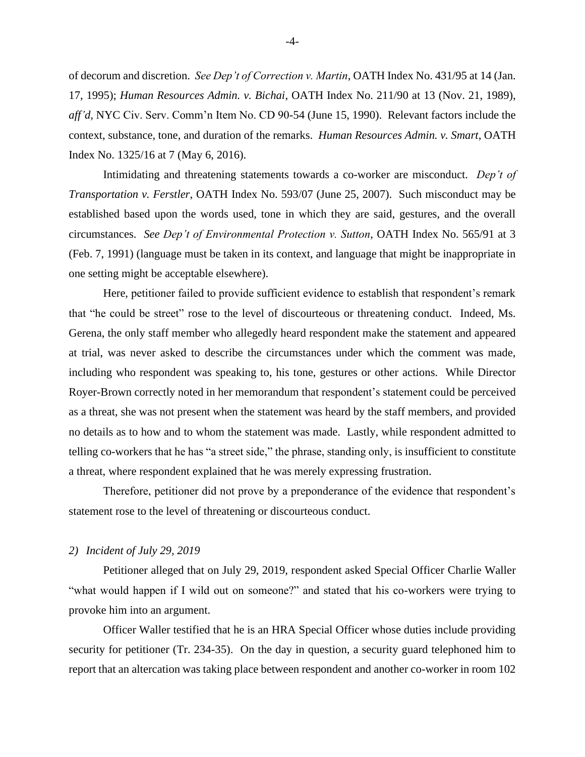of decorum and discretion. *See Dep't of Correction v. Martin*, OATH Index No. 431/95 at 14 (Jan. 17, 1995); *Human Resources Admin. v. Bichai*, OATH Index No. 211/90 at 13 (Nov. 21, 1989), *aff'd,* NYC Civ. Serv. Comm'n Item No. CD 90-54 (June 15, 1990).Relevant factors include the context, substance, tone, and duration of the remarks. *Human Resources Admin. v. Smart*, OATH Index No. 1325/16 at 7 (May 6, 2016).

Intimidating and threatening statements towards a co-worker are misconduct. *Dep't of Transportation v. Ferstler*, OATH Index No. 593/07 (June 25, 2007). Such misconduct may be established based upon the words used, tone in which they are said, gestures, and the overall circumstances. *See Dep't of Environmental Protection v. Sutton*, OATH Index No. 565/91 at 3 (Feb. 7, 1991) (language must be taken in its context, and language that might be inappropriate in one setting might be acceptable elsewhere).

Here, petitioner failed to provide sufficient evidence to establish that respondent's remark that "he could be street" rose to the level of discourteous or threatening conduct. Indeed, Ms. Gerena, the only staff member who allegedly heard respondent make the statement and appeared at trial, was never asked to describe the circumstances under which the comment was made, including who respondent was speaking to, his tone, gestures or other actions. While Director Royer-Brown correctly noted in her memorandum that respondent's statement could be perceived as a threat, she was not present when the statement was heard by the staff members, and provided no details as to how and to whom the statement was made. Lastly, while respondent admitted to telling co-workers that he has "a street side," the phrase, standing only, is insufficient to constitute a threat, where respondent explained that he was merely expressing frustration.

Therefore, petitioner did not prove by a preponderance of the evidence that respondent's statement rose to the level of threatening or discourteous conduct.

#### *2) Incident of July 29, 2019*

Petitioner alleged that on July 29, 2019, respondent asked Special Officer Charlie Waller "what would happen if I wild out on someone?" and stated that his co-workers were trying to provoke him into an argument.

Officer Waller testified that he is an HRA Special Officer whose duties include providing security for petitioner (Tr. 234-35). On the day in question, a security guard telephoned him to report that an altercation was taking place between respondent and another co-worker in room 102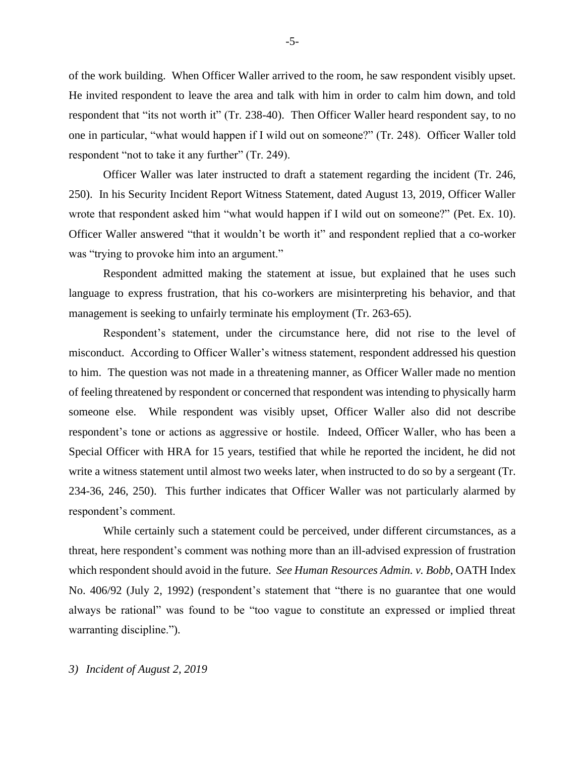of the work building. When Officer Waller arrived to the room, he saw respondent visibly upset. He invited respondent to leave the area and talk with him in order to calm him down, and told respondent that "its not worth it" (Tr. 238-40). Then Officer Waller heard respondent say, to no one in particular, "what would happen if I wild out on someone?" (Tr. 248). Officer Waller told respondent "not to take it any further" (Tr. 249).

Officer Waller was later instructed to draft a statement regarding the incident (Tr. 246, 250). In his Security Incident Report Witness Statement, dated August 13, 2019, Officer Waller wrote that respondent asked him "what would happen if I wild out on someone?" (Pet. Ex. 10). Officer Waller answered "that it wouldn't be worth it" and respondent replied that a co-worker was "trying to provoke him into an argument."

Respondent admitted making the statement at issue, but explained that he uses such language to express frustration, that his co-workers are misinterpreting his behavior, and that management is seeking to unfairly terminate his employment (Tr. 263-65).

Respondent's statement, under the circumstance here, did not rise to the level of misconduct. According to Officer Waller's witness statement, respondent addressed his question to him. The question was not made in a threatening manner, as Officer Waller made no mention of feeling threatened by respondent or concerned that respondent was intending to physically harm someone else. While respondent was visibly upset, Officer Waller also did not describe respondent's tone or actions as aggressive or hostile. Indeed, Officer Waller, who has been a Special Officer with HRA for 15 years, testified that while he reported the incident, he did not write a witness statement until almost two weeks later, when instructed to do so by a sergeant (Tr. 234-36, 246, 250). This further indicates that Officer Waller was not particularly alarmed by respondent's comment.

While certainly such a statement could be perceived, under different circumstances, as a threat, here respondent's comment was nothing more than an ill-advised expression of frustration which respondent should avoid in the future. *See Human Resources Admin. v. Bobb*, OATH Index No. 406/92 (July 2, 1992) (respondent's statement that "there is no guarantee that one would always be rational" was found to be "too vague to constitute an expressed or implied threat warranting discipline.").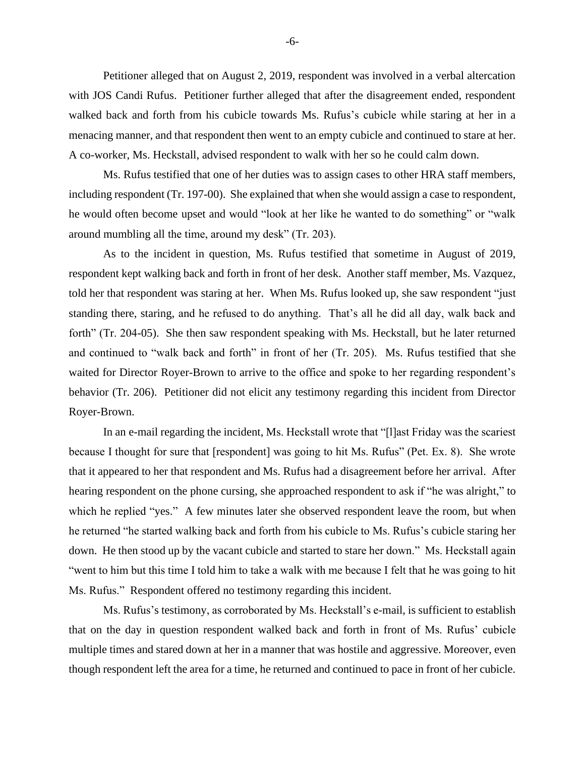Petitioner alleged that on August 2, 2019, respondent was involved in a verbal altercation with JOS Candi Rufus. Petitioner further alleged that after the disagreement ended, respondent walked back and forth from his cubicle towards Ms. Rufus's cubicle while staring at her in a menacing manner, and that respondent then went to an empty cubicle and continued to stare at her. A co-worker, Ms. Heckstall, advised respondent to walk with her so he could calm down.

Ms. Rufus testified that one of her duties was to assign cases to other HRA staff members, including respondent (Tr. 197-00). She explained that when she would assign a case to respondent, he would often become upset and would "look at her like he wanted to do something" or "walk around mumbling all the time, around my desk" (Tr. 203).

As to the incident in question, Ms. Rufus testified that sometime in August of 2019, respondent kept walking back and forth in front of her desk. Another staff member, Ms. Vazquez, told her that respondent was staring at her. When Ms. Rufus looked up, she saw respondent "just standing there, staring, and he refused to do anything. That's all he did all day, walk back and forth" (Tr. 204-05). She then saw respondent speaking with Ms. Heckstall, but he later returned and continued to "walk back and forth" in front of her (Tr. 205). Ms. Rufus testified that she waited for Director Royer-Brown to arrive to the office and spoke to her regarding respondent's behavior (Tr. 206). Petitioner did not elicit any testimony regarding this incident from Director Royer-Brown.

In an e-mail regarding the incident, Ms. Heckstall wrote that "[l]ast Friday was the scariest because I thought for sure that [respondent] was going to hit Ms. Rufus" (Pet. Ex. 8). She wrote that it appeared to her that respondent and Ms. Rufus had a disagreement before her arrival. After hearing respondent on the phone cursing, she approached respondent to ask if "he was alright," to which he replied "yes." A few minutes later she observed respondent leave the room, but when he returned "he started walking back and forth from his cubicle to Ms. Rufus's cubicle staring her down. He then stood up by the vacant cubicle and started to stare her down." Ms. Heckstall again "went to him but this time I told him to take a walk with me because I felt that he was going to hit Ms. Rufus." Respondent offered no testimony regarding this incident.

Ms. Rufus's testimony, as corroborated by Ms. Heckstall's e-mail, is sufficient to establish that on the day in question respondent walked back and forth in front of Ms. Rufus' cubicle multiple times and stared down at her in a manner that was hostile and aggressive. Moreover, even though respondent left the area for a time, he returned and continued to pace in front of her cubicle.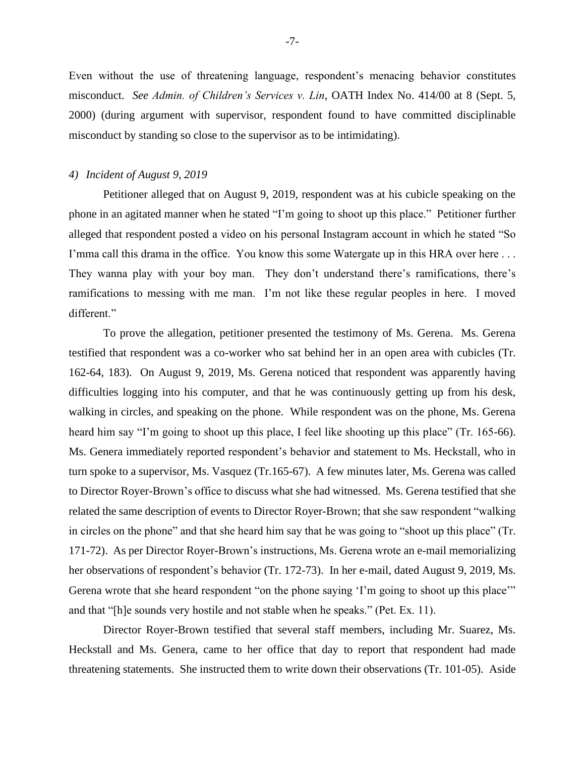Even without the use of threatening language, respondent's menacing behavior constitutes misconduct. *See Admin. of Children's Services v. Lin*, OATH Index No. 414/00 at 8 (Sept. 5, 2000) (during argument with supervisor, respondent found to have committed disciplinable misconduct by standing so close to the supervisor as to be intimidating).

### *4) Incident of August 9, 2019*

Petitioner alleged that on August 9, 2019, respondent was at his cubicle speaking on the phone in an agitated manner when he stated "I'm going to shoot up this place." Petitioner further alleged that respondent posted a video on his personal Instagram account in which he stated "So I'mma call this drama in the office. You know this some Watergate up in this HRA over here . . . They wanna play with your boy man. They don't understand there's ramifications, there's ramifications to messing with me man. I'm not like these regular peoples in here. I moved different."

To prove the allegation, petitioner presented the testimony of Ms. Gerena. Ms. Gerena testified that respondent was a co-worker who sat behind her in an open area with cubicles (Tr. 162-64, 183). On August 9, 2019, Ms. Gerena noticed that respondent was apparently having difficulties logging into his computer, and that he was continuously getting up from his desk, walking in circles, and speaking on the phone. While respondent was on the phone, Ms. Gerena heard him say "I'm going to shoot up this place, I feel like shooting up this place" (Tr. 165-66). Ms. Genera immediately reported respondent's behavior and statement to Ms. Heckstall, who in turn spoke to a supervisor, Ms. Vasquez (Tr.165-67). A few minutes later, Ms. Gerena was called to Director Royer-Brown's office to discuss what she had witnessed. Ms. Gerena testified that she related the same description of events to Director Royer-Brown; that she saw respondent "walking in circles on the phone" and that she heard him say that he was going to "shoot up this place" (Tr. 171-72). As per Director Royer-Brown's instructions, Ms. Gerena wrote an e-mail memorializing her observations of respondent's behavior (Tr. 172-73). In her e-mail, dated August 9, 2019, Ms. Gerena wrote that she heard respondent "on the phone saying 'I'm going to shoot up this place" and that "[h]e sounds very hostile and not stable when he speaks." (Pet. Ex. 11).

Director Royer-Brown testified that several staff members, including Mr. Suarez, Ms. Heckstall and Ms. Genera, came to her office that day to report that respondent had made threatening statements. She instructed them to write down their observations (Tr. 101-05). Aside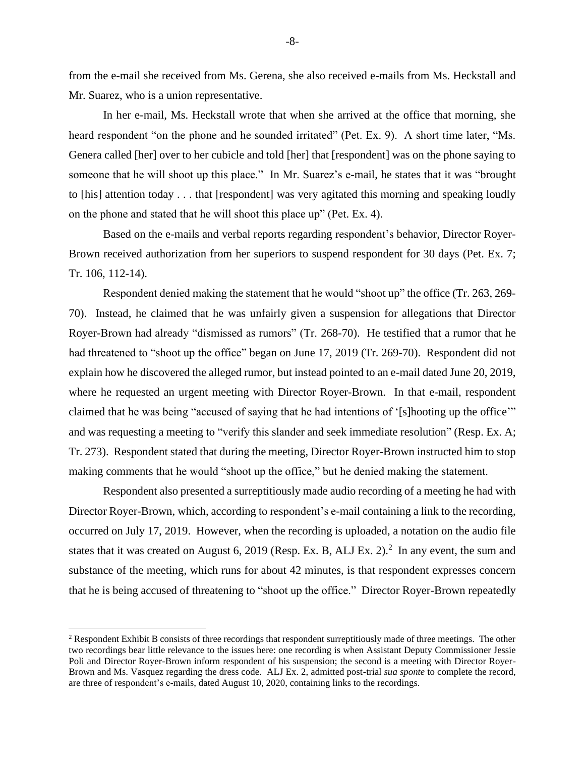from the e-mail she received from Ms. Gerena, she also received e-mails from Ms. Heckstall and Mr. Suarez, who is a union representative.

In her e-mail, Ms. Heckstall wrote that when she arrived at the office that morning, she heard respondent "on the phone and he sounded irritated" (Pet. Ex. 9). A short time later, "Ms. Genera called [her] over to her cubicle and told [her] that [respondent] was on the phone saying to someone that he will shoot up this place." In Mr. Suarez's e-mail, he states that it was "brought to [his] attention today . . . that [respondent] was very agitated this morning and speaking loudly on the phone and stated that he will shoot this place up" (Pet. Ex. 4).

Based on the e-mails and verbal reports regarding respondent's behavior, Director Royer-Brown received authorization from her superiors to suspend respondent for 30 days (Pet. Ex. 7; Tr. 106, 112-14).

Respondent denied making the statement that he would "shoot up" the office (Tr. 263, 269- 70). Instead, he claimed that he was unfairly given a suspension for allegations that Director Royer-Brown had already "dismissed as rumors" (Tr. 268-70). He testified that a rumor that he had threatened to "shoot up the office" began on June 17, 2019 (Tr. 269-70). Respondent did not explain how he discovered the alleged rumor, but instead pointed to an e-mail dated June 20, 2019, where he requested an urgent meeting with Director Royer-Brown. In that e-mail, respondent claimed that he was being "accused of saying that he had intentions of '[s]hooting up the office'" and was requesting a meeting to "verify this slander and seek immediate resolution" (Resp. Ex. A; Tr. 273). Respondent stated that during the meeting, Director Royer-Brown instructed him to stop making comments that he would "shoot up the office," but he denied making the statement.

Respondent also presented a surreptitiously made audio recording of a meeting he had with Director Royer-Brown, which, according to respondent's e-mail containing a link to the recording, occurred on July 17, 2019. However, when the recording is uploaded, a notation on the audio file states that it was created on August 6, 2019 (Resp. Ex. B, ALJ Ex. 2).<sup>2</sup> In any event, the sum and substance of the meeting, which runs for about 42 minutes, is that respondent expresses concern that he is being accused of threatening to "shoot up the office." Director Royer-Brown repeatedly

<sup>&</sup>lt;sup>2</sup> Respondent Exhibit B consists of three recordings that respondent surreptitiously made of three meetings. The other two recordings bear little relevance to the issues here: one recording is when Assistant Deputy Commissioner Jessie Poli and Director Royer-Brown inform respondent of his suspension; the second is a meeting with Director Royer-Brown and Ms. Vasquez regarding the dress code. ALJ Ex. 2, admitted post-trial *sua sponte* to complete the record, are three of respondent's e-mails, dated August 10, 2020, containing links to the recordings.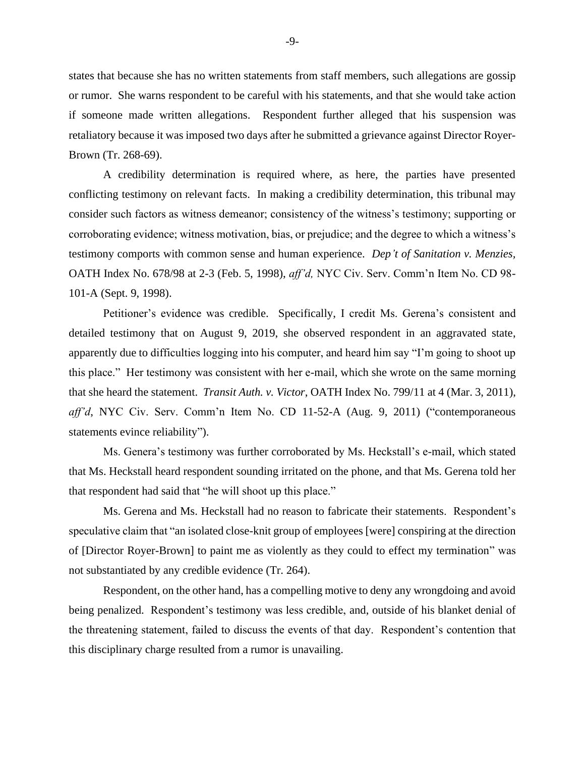states that because she has no written statements from staff members, such allegations are gossip or rumor. She warns respondent to be careful with his statements, and that she would take action if someone made written allegations. Respondent further alleged that his suspension was retaliatory because it was imposed two days after he submitted a grievance against Director Royer-Brown (Tr. 268-69).

A credibility determination is required where, as here, the parties have presented conflicting testimony on relevant facts. In making a credibility determination, this tribunal may consider such factors as witness demeanor; consistency of the witness's testimony; supporting or corroborating evidence; witness motivation, bias, or prejudice; and the degree to which a witness's testimony comports with common sense and human experience. *Dep't of Sanitation v. Menzies,*  OATH Index No. 678/98 at 2-3 (Feb. 5, 1998), *aff'd,* NYC Civ. Serv. Comm'n Item No. CD 98- 101-A (Sept. 9, 1998).

Petitioner's evidence was credible. Specifically, I credit Ms. Gerena's consistent and detailed testimony that on August 9, 2019, she observed respondent in an aggravated state, apparently due to difficulties logging into his computer, and heard him say "I'm going to shoot up this place." Her testimony was consistent with her e-mail, which she wrote on the same morning that she heard the statement. *Transit Auth. v. Victor*, OATH Index No. 799/11 at 4 (Mar. 3, 2011), *aff'd*, NYC Civ. Serv. Comm'n Item No. CD 11-52-A (Aug. 9, 2011) ("contemporaneous statements evince reliability").

Ms. Genera's testimony was further corroborated by Ms. Heckstall's e-mail, which stated that Ms. Heckstall heard respondent sounding irritated on the phone, and that Ms. Gerena told her that respondent had said that "he will shoot up this place."

Ms. Gerena and Ms. Heckstall had no reason to fabricate their statements. Respondent's speculative claim that "an isolated close-knit group of employees [were] conspiring at the direction of [Director Royer-Brown] to paint me as violently as they could to effect my termination" was not substantiated by any credible evidence (Tr. 264).

Respondent, on the other hand, has a compelling motive to deny any wrongdoing and avoid being penalized. Respondent's testimony was less credible, and, outside of his blanket denial of the threatening statement, failed to discuss the events of that day. Respondent's contention that this disciplinary charge resulted from a rumor is unavailing.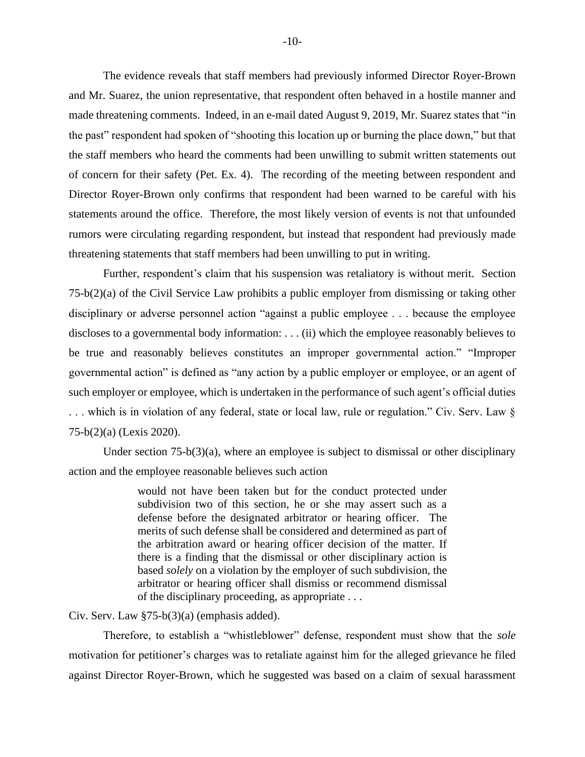The evidence reveals that staff members had previously informed Director Royer-Brown and Mr. Suarez, the union representative, that respondent often behaved in a hostile manner and made threatening comments. Indeed, in an e-mail dated August 9, 2019, Mr. Suarez states that "in the past" respondent had spoken of "shooting this location up or burning the place down," but that the staff members who heard the comments had been unwilling to submit written statements out of concern for their safety (Pet. Ex. 4). The recording of the meeting between respondent and Director Royer-Brown only confirms that respondent had been warned to be careful with his statements around the office. Therefore, the most likely version of events is not that unfounded rumors were circulating regarding respondent, but instead that respondent had previously made threatening statements that staff members had been unwilling to put in writing.

Further, respondent's claim that his suspension was retaliatory is without merit. Section 75-b(2)(a) of the Civil Service Law prohibits a public employer from dismissing or taking other disciplinary or adverse personnel action "against a public employee . . . because the employee discloses to a governmental body information: . . . (ii) which the employee reasonably believes to be true and reasonably believes constitutes an improper governmental action." "Improper governmental action" is defined as "any action by a public employer or employee, or an agent of such employer or employee, which is undertaken in the performance of such agent's official duties . . . which is in violation of any federal, state or local law, rule or regulation." Civ. Serv. Law § 75-b(2)(a) (Lexis 2020).

Under section 75-b(3)(a), where an employee is subject to dismissal or other disciplinary action and the employee reasonable believes such action

> would not have been taken but for the conduct protected under subdivision two of this section, he or she may assert such as a defense before the designated arbitrator or hearing officer. The merits of such defense shall be considered and determined as part of the arbitration award or hearing officer decision of the matter. If there is a finding that the dismissal or other disciplinary action is based *solely* on a violation by the employer of such subdivision, the arbitrator or hearing officer shall dismiss or recommend dismissal of the disciplinary proceeding, as appropriate . . .

## Civ. Serv. Law §75-b(3)(a) (emphasis added).

Therefore, to establish a "whistleblower" defense, respondent must show that the *sole* motivation for petitioner's charges was to retaliate against him for the alleged grievance he filed against Director Royer-Brown, which he suggested was based on a claim of sexual harassment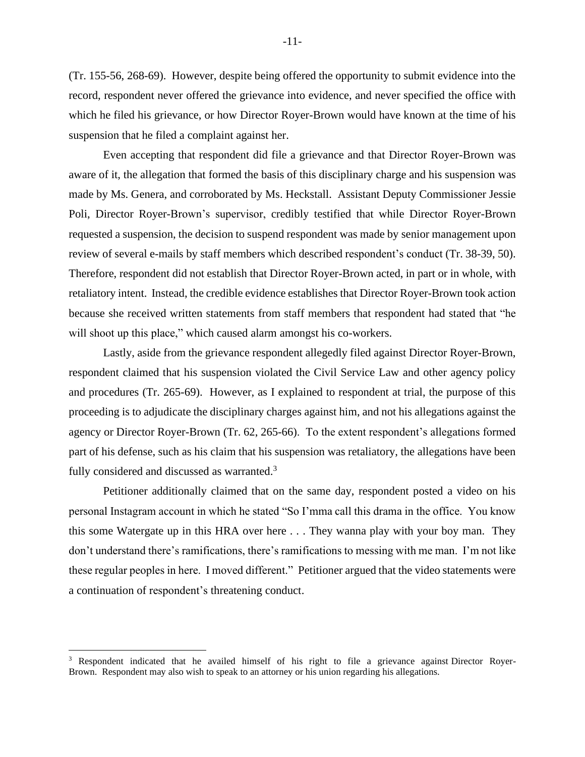(Tr. 155-56, 268-69). However, despite being offered the opportunity to submit evidence into the record, respondent never offered the grievance into evidence, and never specified the office with which he filed his grievance, or how Director Royer-Brown would have known at the time of his suspension that he filed a complaint against her.

Even accepting that respondent did file a grievance and that Director Royer-Brown was aware of it, the allegation that formed the basis of this disciplinary charge and his suspension was made by Ms. Genera, and corroborated by Ms. Heckstall. Assistant Deputy Commissioner Jessie Poli, Director Royer-Brown's supervisor, credibly testified that while Director Royer-Brown requested a suspension, the decision to suspend respondent was made by senior management upon review of several e-mails by staff members which described respondent's conduct (Tr. 38-39, 50). Therefore, respondent did not establish that Director Royer-Brown acted, in part or in whole, with retaliatory intent. Instead, the credible evidence establishes that Director Royer-Brown took action because she received written statements from staff members that respondent had stated that "he will shoot up this place," which caused alarm amongst his co-workers.

Lastly, aside from the grievance respondent allegedly filed against Director Royer-Brown, respondent claimed that his suspension violated the Civil Service Law and other agency policy and procedures (Tr. 265-69). However, as I explained to respondent at trial, the purpose of this proceeding is to adjudicate the disciplinary charges against him, and not his allegations against the agency or Director Royer-Brown (Tr. 62, 265-66). To the extent respondent's allegations formed part of his defense, such as his claim that his suspension was retaliatory, the allegations have been fully considered and discussed as warranted.<sup>3</sup>

Petitioner additionally claimed that on the same day, respondent posted a video on his personal Instagram account in which he stated "So I'mma call this drama in the office. You know this some Watergate up in this HRA over here . . . They wanna play with your boy man. They don't understand there's ramifications, there's ramifications to messing with me man. I'm not like these regular peoples in here. I moved different." Petitioner argued that the video statements were a continuation of respondent's threatening conduct.

<sup>&</sup>lt;sup>3</sup> Respondent indicated that he availed himself of his right to file a grievance against Director Royer-Brown. Respondent may also wish to speak to an attorney or his union regarding his allegations.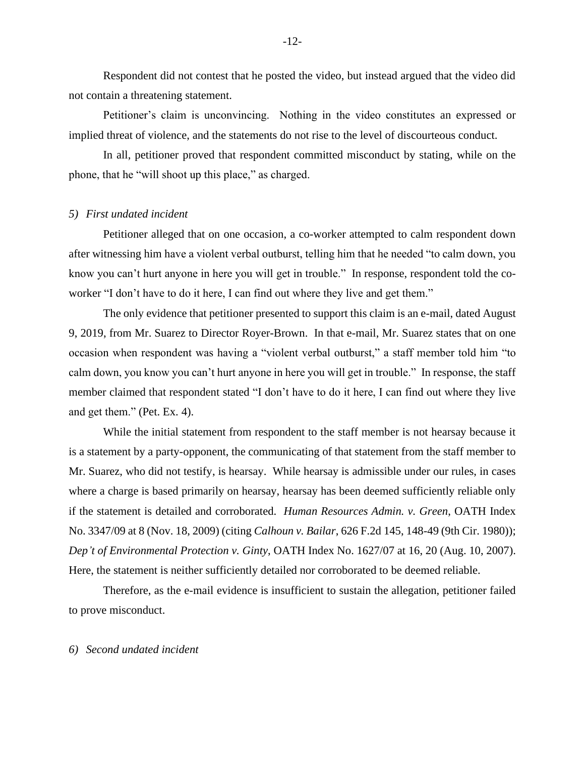Respondent did not contest that he posted the video, but instead argued that the video did not contain a threatening statement.

Petitioner's claim is unconvincing. Nothing in the video constitutes an expressed or implied threat of violence, and the statements do not rise to the level of discourteous conduct.

In all, petitioner proved that respondent committed misconduct by stating, while on the phone, that he "will shoot up this place," as charged.

#### *5) First undated incident*

Petitioner alleged that on one occasion, a co-worker attempted to calm respondent down after witnessing him have a violent verbal outburst, telling him that he needed "to calm down, you know you can't hurt anyone in here you will get in trouble." In response, respondent told the coworker "I don't have to do it here, I can find out where they live and get them."

The only evidence that petitioner presented to support this claim is an e-mail, dated August 9, 2019, from Mr. Suarez to Director Royer-Brown. In that e-mail, Mr. Suarez states that on one occasion when respondent was having a "violent verbal outburst," a staff member told him "to calm down, you know you can't hurt anyone in here you will get in trouble." In response, the staff member claimed that respondent stated "I don't have to do it here, I can find out where they live and get them." (Pet. Ex. 4).

While the initial statement from respondent to the staff member is not hearsay because it is a statement by a party-opponent, the communicating of that statement from the staff member to Mr. Suarez, who did not testify, is hearsay. While hearsay is admissible under our rules, in cases where a charge is based primarily on hearsay, hearsay has been deemed sufficiently reliable only if the statement is detailed and corroborated. *Human Resources Admin. v. Green*, OATH Index No. 3347/09 at 8 (Nov. 18, 2009) (citing *Calhoun v. Bailar*, 626 F.2d 145, 148-49 (9th Cir. 1980)); *Dep't of Environmental Protection v. Ginty*, OATH Index No. 1627/07 at 16, 20 (Aug. 10, 2007). Here, the statement is neither sufficiently detailed nor corroborated to be deemed reliable.

Therefore, as the e-mail evidence is insufficient to sustain the allegation, petitioner failed to prove misconduct.

#### *6) Second undated incident*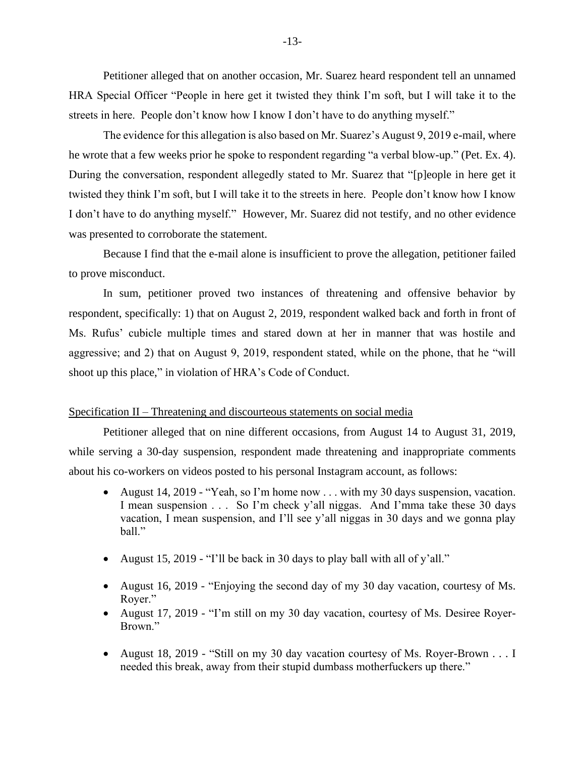Petitioner alleged that on another occasion, Mr. Suarez heard respondent tell an unnamed HRA Special Officer "People in here get it twisted they think I'm soft, but I will take it to the streets in here. People don't know how I know I don't have to do anything myself."

The evidence for this allegation is also based on Mr. Suarez's August 9, 2019 e-mail, where he wrote that a few weeks prior he spoke to respondent regarding "a verbal blow-up." (Pet. Ex. 4). During the conversation, respondent allegedly stated to Mr. Suarez that "[p]eople in here get it twisted they think I'm soft, but I will take it to the streets in here. People don't know how I know I don't have to do anything myself." However, Mr. Suarez did not testify, and no other evidence was presented to corroborate the statement.

Because I find that the e-mail alone is insufficient to prove the allegation, petitioner failed to prove misconduct.

In sum, petitioner proved two instances of threatening and offensive behavior by respondent, specifically: 1) that on August 2, 2019, respondent walked back and forth in front of Ms. Rufus' cubicle multiple times and stared down at her in manner that was hostile and aggressive; and 2) that on August 9, 2019, respondent stated, while on the phone, that he "will shoot up this place," in violation of HRA's Code of Conduct.

## Specification II – Threatening and discourteous statements on social media

Petitioner alleged that on nine different occasions, from August 14 to August 31, 2019, while serving a 30-day suspension, respondent made threatening and inappropriate comments about his co-workers on videos posted to his personal Instagram account, as follows:

- August 14, 2019 "Yeah, so I'm home now . . . with my 30 days suspension, vacation. I mean suspension . . . So I'm check y'all niggas. And I'mma take these 30 days vacation, I mean suspension, and I'll see y'all niggas in 30 days and we gonna play ball."
- August 15, 2019 "I'll be back in 30 days to play ball with all of y'all."
- August 16, 2019 "Enjoying the second day of my 30 day vacation, courtesy of Ms. Royer."
- August 17, 2019 "I'm still on my 30 day vacation, courtesy of Ms. Desiree Royer-Brown."
- August 18, 2019 "Still on my 30 day vacation courtesy of Ms. Royer-Brown . . . I needed this break, away from their stupid dumbass motherfuckers up there."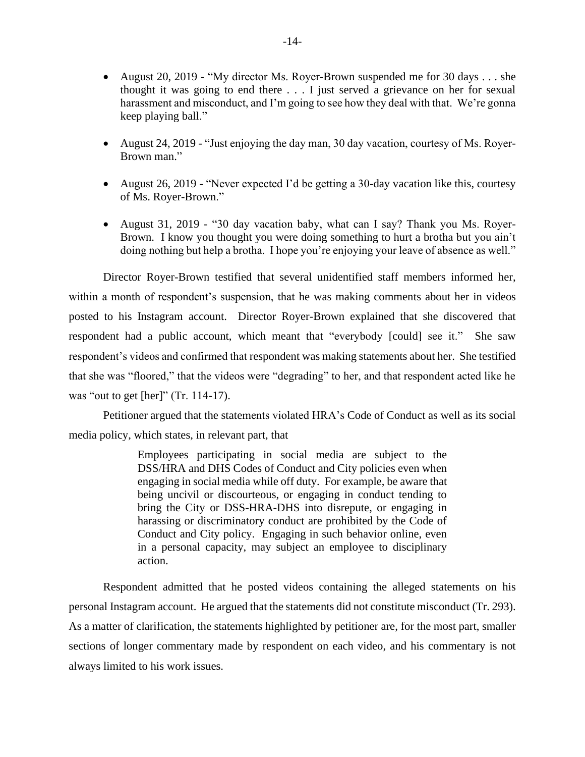- August 20, 2019 "My director Ms. Royer-Brown suspended me for 30 days . . . she thought it was going to end there . . . I just served a grievance on her for sexual harassment and misconduct, and I'm going to see how they deal with that. We're gonna keep playing ball."
- August 24, 2019 "Just enjoying the day man, 30 day vacation, courtesy of Ms. Royer-Brown man."
- August 26, 2019 "Never expected I'd be getting a 30-day vacation like this, courtesy of Ms. Royer-Brown."
- August 31, 2019 "30 day vacation baby, what can I say? Thank you Ms. Royer-Brown. I know you thought you were doing something to hurt a brotha but you ain't doing nothing but help a brotha. I hope you're enjoying your leave of absence as well."

Director Royer-Brown testified that several unidentified staff members informed her, within a month of respondent's suspension, that he was making comments about her in videos posted to his Instagram account. Director Royer-Brown explained that she discovered that respondent had a public account, which meant that "everybody [could] see it." She saw respondent's videos and confirmed that respondent was making statements about her. She testified that she was "floored," that the videos were "degrading" to her, and that respondent acted like he was "out to get [her]" (Tr. 114-17).

Petitioner argued that the statements violated HRA's Code of Conduct as well as its social media policy, which states, in relevant part, that

> Employees participating in social media are subject to the DSS/HRA and DHS Codes of Conduct and City policies even when engaging in social media while off duty. For example, be aware that being uncivil or discourteous, or engaging in conduct tending to bring the City or DSS-HRA-DHS into disrepute, or engaging in harassing or discriminatory conduct are prohibited by the Code of Conduct and City policy. Engaging in such behavior online, even in a personal capacity, may subject an employee to disciplinary action.

Respondent admitted that he posted videos containing the alleged statements on his personal Instagram account. He argued that the statements did not constitute misconduct (Tr. 293). As a matter of clarification, the statements highlighted by petitioner are, for the most part, smaller sections of longer commentary made by respondent on each video, and his commentary is not always limited to his work issues.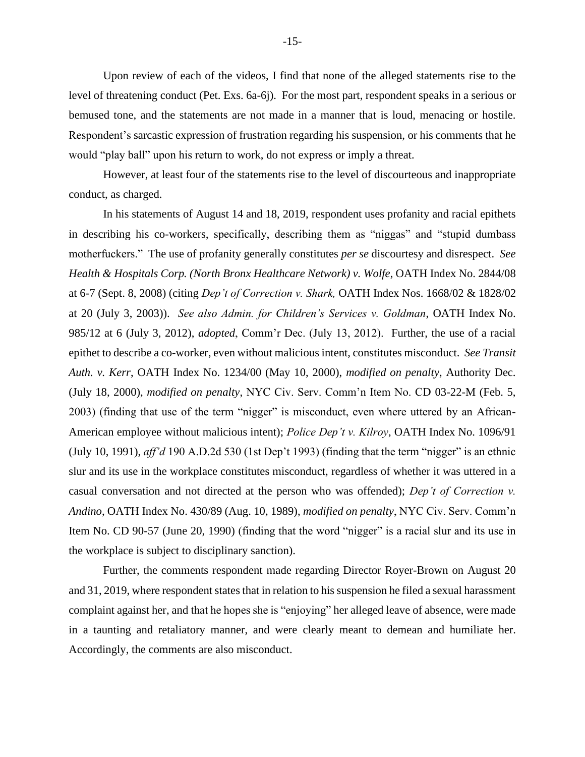Upon review of each of the videos, I find that none of the alleged statements rise to the level of threatening conduct (Pet. Exs. 6a-6j). For the most part, respondent speaks in a serious or bemused tone, and the statements are not made in a manner that is loud, menacing or hostile. Respondent's sarcastic expression of frustration regarding his suspension, or his comments that he would "play ball" upon his return to work, do not express or imply a threat.

However, at least four of the statements rise to the level of discourteous and inappropriate conduct, as charged.

In his statements of August 14 and 18, 2019, respondent uses profanity and racial epithets in describing his co-workers, specifically, describing them as "niggas" and "stupid dumbass motherfuckers." The use of profanity generally constitutes *per se* discourtesy and disrespect. *See Health & Hospitals Corp. (North Bronx Healthcare Network) v. Wolfe*, OATH Index No. 2844/08 at 6-7 (Sept. 8, 2008) (citing *Dep't of Correction v. Shark,* OATH Index Nos. 1668/02 & 1828/02 at 20 (July 3, 2003)). *See also Admin. for Children's Services v. Goldman*, OATH Index No. 985/12 at 6 (July 3, 2012), *adopted*, Comm'r Dec. (July 13, 2012). Further, the use of a racial epithet to describe a co-worker, even without malicious intent, constitutes misconduct. *See Transit Auth. v. Kerr*, OATH Index No. 1234/00 (May 10, 2000), *modified on penalty*, Authority Dec. (July 18, 2000), *modified on penalty*, NYC Civ. Serv. Comm'n Item No. CD 03-22-M (Feb. 5, 2003) (finding that use of the term "nigger" is misconduct, even where uttered by an African-American employee without malicious intent); *Police Dep't v. Kilroy*, OATH Index No. 1096/91 (July 10, 1991), *aff'd* 190 A.D.2d 530 (1st Dep't 1993) (finding that the term "nigger" is an ethnic slur and its use in the workplace constitutes misconduct, regardless of whether it was uttered in a casual conversation and not directed at the person who was offended); *Dep't of Correction v. Andino*, OATH Index No. 430/89 (Aug. 10, 1989), *modified on penalty*, NYC Civ. Serv. Comm'n Item No. CD 90-57 (June 20, 1990) (finding that the word "nigger" is a racial slur and its use in the workplace is subject to disciplinary sanction).

Further, the comments respondent made regarding Director Royer-Brown on August 20 and 31, 2019, where respondent states that in relation to his suspension he filed a sexual harassment complaint against her, and that he hopes she is "enjoying" her alleged leave of absence, were made in a taunting and retaliatory manner, and were clearly meant to demean and humiliate her. Accordingly, the comments are also misconduct.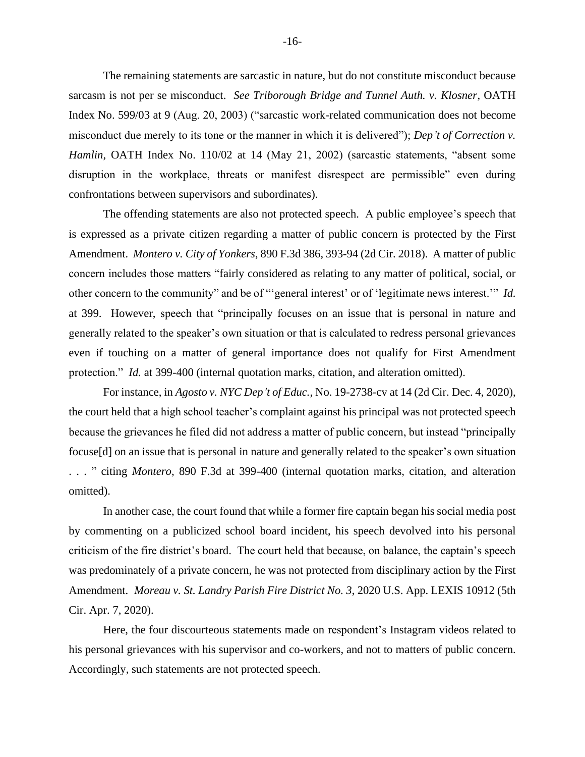The remaining statements are sarcastic in nature, but do not constitute misconduct because sarcasm is not per se misconduct. *See Triborough Bridge and Tunnel Auth. v. Klosner*, OATH Index No. 599/03 at 9 (Aug. 20, 2003) ("sarcastic work-related communication does not become misconduct due merely to its tone or the manner in which it is delivered"); *Dep't of Correction v. Hamlin*, OATH Index No. 110/02 at 14 (May 21, 2002) (sarcastic statements, "absent some disruption in the workplace, threats or manifest disrespect are permissible" even during confrontations between supervisors and subordinates).

The offending statements are also not protected speech. A public employee's speech that is expressed as a private citizen regarding a matter of public concern is protected by the First Amendment. *Montero v. City of Yonkers*, 890 F.3d 386, 393-94 (2d Cir. 2018). A matter of public concern includes those matters "fairly considered as relating to any matter of political, social, or other concern to the community" and be of "'general interest' or of 'legitimate news interest.'" *Id.*  at 399. However, speech that "principally focuses on an issue that is personal in nature and generally related to the speaker's own situation or that is calculated to redress personal grievances even if touching on a matter of general importance does not qualify for First Amendment protection." *Id.* at 399-400 (internal quotation marks, citation, and alteration omitted).

For instance, in *Agosto v. NYC Dep't of Educ.,* No. 19-2738-cv at 14 (2d Cir. Dec. 4, 2020), the court held that a high school teacher's complaint against his principal was not protected speech because the grievances he filed did not address a matter of public concern, but instead "principally focuse[d] on an issue that is personal in nature and generally related to the speaker's own situation . . . " citing *Montero*, 890 F.3d at 399-400 (internal quotation marks, citation, and alteration omitted).

In another case, the court found that while a former fire captain began his social media post by commenting on a publicized school board incident, his speech devolved into his personal criticism of the fire district's board. The court held that because, on balance, the captain's speech was predominately of a private concern, he was not protected from disciplinary action by the First Amendment. *Moreau v. St. Landry Parish Fire District No. 3*, 2020 U.S. App. LEXIS 10912 (5th Cir. Apr. 7, 2020).

Here, the four discourteous statements made on respondent's Instagram videos related to his personal grievances with his supervisor and co-workers, and not to matters of public concern. Accordingly, such statements are not protected speech.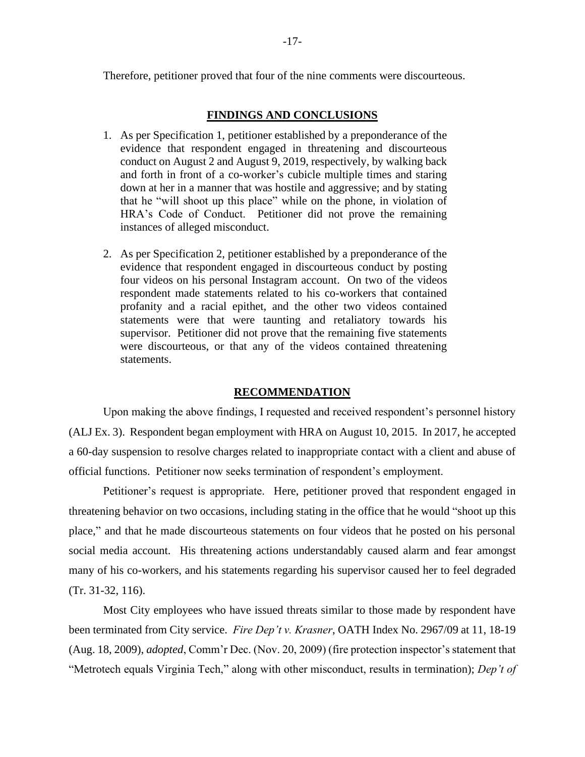Therefore, petitioner proved that four of the nine comments were discourteous.

#### **FINDINGS AND CONCLUSIONS**

- 1. As per Specification 1, petitioner established by a preponderance of the evidence that respondent engaged in threatening and discourteous conduct on August 2 and August 9, 2019, respectively, by walking back and forth in front of a co-worker's cubicle multiple times and staring down at her in a manner that was hostile and aggressive; and by stating that he "will shoot up this place" while on the phone, in violation of HRA's Code of Conduct. Petitioner did not prove the remaining instances of alleged misconduct.
- 2. As per Specification 2, petitioner established by a preponderance of the evidence that respondent engaged in discourteous conduct by posting four videos on his personal Instagram account. On two of the videos respondent made statements related to his co-workers that contained profanity and a racial epithet, and the other two videos contained statements were that were taunting and retaliatory towards his supervisor. Petitioner did not prove that the remaining five statements were discourteous, or that any of the videos contained threatening statements.

#### **RECOMMENDATION**

Upon making the above findings, I requested and received respondent's personnel history (ALJ Ex. 3). Respondent began employment with HRA on August 10, 2015. In 2017, he accepted a 60-day suspension to resolve charges related to inappropriate contact with a client and abuse of official functions. Petitioner now seeks termination of respondent's employment.

Petitioner's request is appropriate. Here, petitioner proved that respondent engaged in threatening behavior on two occasions, including stating in the office that he would "shoot up this place," and that he made discourteous statements on four videos that he posted on his personal social media account. His threatening actions understandably caused alarm and fear amongst many of his co-workers, and his statements regarding his supervisor caused her to feel degraded (Tr. 31-32, 116).

Most City employees who have issued threats similar to those made by respondent have been terminated from City service. *Fire Dep't v. Krasner*, OATH Index No. 2967/09 at 11, 18-19 (Aug. 18, 2009), *adopted*, Comm'r Dec. (Nov. 20, 2009) (fire protection inspector's statement that "Metrotech equals Virginia Tech," along with other misconduct, results in termination); *Dep't of*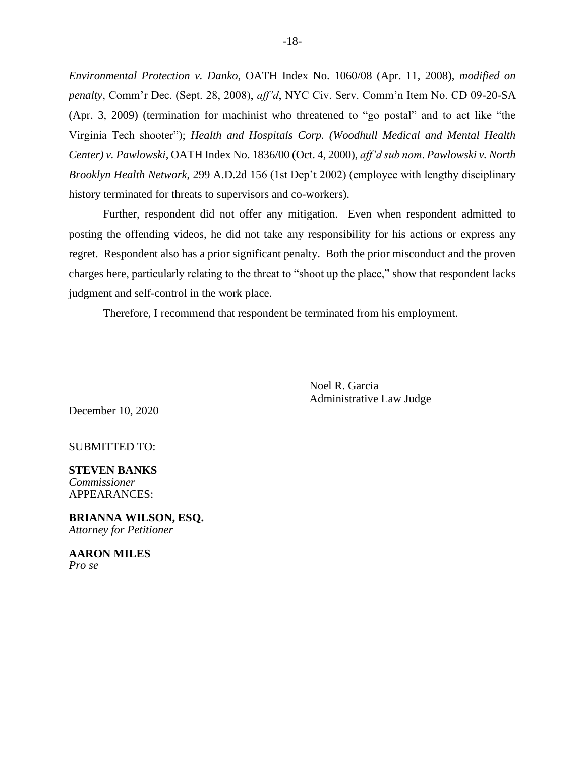*Environmental Protection v. Danko*, OATH Index No. 1060/08 (Apr. 11, 2008), *modified on penalty*, Comm'r Dec. (Sept. 28, 2008), *aff'd*, NYC Civ. Serv. Comm'n Item No. CD 09-20-SA (Apr. 3, 2009) (termination for machinist who threatened to "go postal" and to act like "the Virginia Tech shooter"); *Health and Hospitals Corp. (Woodhull Medical and Mental Health Center) v. Pawlowski*, OATH Index No. 1836/00 (Oct. 4, 2000), *aff'd sub nom*. *Pawlowski v. North Brooklyn Health Network*, 299 A.D.2d 156 (1st Dep't 2002) (employee with lengthy disciplinary history terminated for threats to supervisors and co-workers).

Further, respondent did not offer any mitigation. Even when respondent admitted to posting the offending videos, he did not take any responsibility for his actions or express any regret. Respondent also has a prior significant penalty. Both the prior misconduct and the proven charges here, particularly relating to the threat to "shoot up the place," show that respondent lacks judgment and self-control in the work place.

Therefore, I recommend that respondent be terminated from his employment.

Noel R. Garcia Administrative Law Judge

December 10, 2020

SUBMITTED TO:

**STEVEN BANKS** *Commissioner* APPEARANCES:

**BRIANNA WILSON, ESQ.** *Attorney for Petitioner*

**AARON MILES**  *Pro se*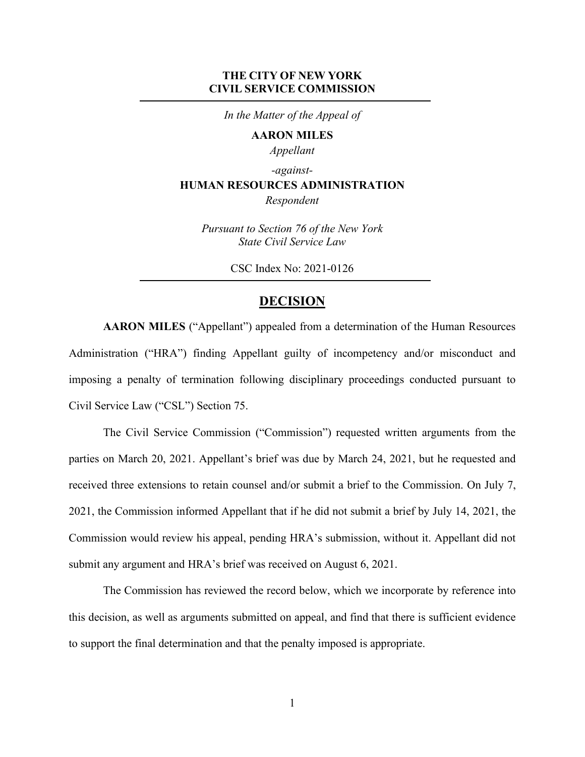## **THE CITY OF NEW YORK CIVIL SERVICE COMMISSION**

*In the Matter of the Appeal of*

#### **AARON MILES**

*Appellant*

*-against-*

## **HUMAN RESOURCES ADMINISTRATION**

*Respondent*

*Pursuant to Section 76 of the New York State Civil Service Law*

CSC Index No: 2021-0126

# **DECISION**

**AARON MILES** ("Appellant") appealed from a determination of the Human Resources Administration ("HRA") finding Appellant guilty of incompetency and/or misconduct and imposing a penalty of termination following disciplinary proceedings conducted pursuant to Civil Service Law ("CSL") Section 75.

The Civil Service Commission ("Commission") requested written arguments from the parties on March 20, 2021. Appellant's brief was due by March 24, 2021, but he requested and received three extensions to retain counsel and/or submit a brief to the Commission. On July 7, 2021, the Commission informed Appellant that if he did not submit a brief by July 14, 2021, the Commission would review his appeal, pending HRA's submission, without it. Appellant did not submit any argument and HRA's brief was received on August 6, 2021.

The Commission has reviewed the record below, which we incorporate by reference into this decision, as well as arguments submitted on appeal, and find that there is sufficient evidence to support the final determination and that the penalty imposed is appropriate.